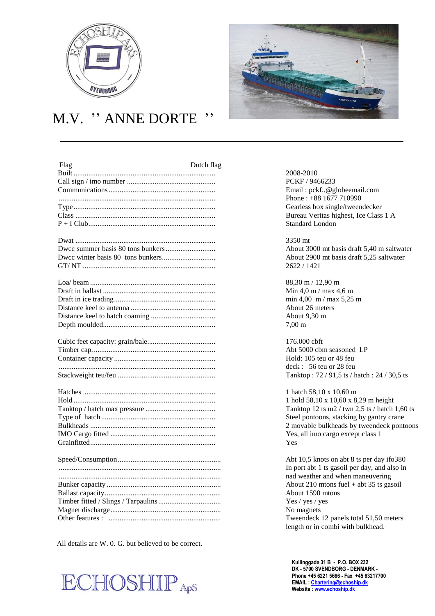

## M.V. '' ANNE DORTE ''

 $\overline{\phantom{a}}$  , and the contract of the contract of the contract of the contract of the contract of the contract of the contract of the contract of the contract of the contract of the contract of the contract of the contrac

| Flag | Dutch flag | 2008-2010             |
|------|------------|-----------------------|
|      |            | <b>PCKF / 94</b>      |
|      |            | Email: pcl            |
|      |            | Phone: $+8$           |
|      |            | Gearless b            |
|      |            | <b>Bureau Ve</b>      |
|      |            | Standard L            |
|      |            | 3350 mt               |
|      |            | About 300             |
|      |            | About 290             |
|      |            | 2622/142              |
|      |            | $88,30 \text{ m} / 1$ |
|      |            | Min 4.0 m             |
|      |            | min 4,00 1            |
|      |            | About 26 r            |
|      |            | About 9,30            |
|      |            | $7,00 \; \mathrm{m}$  |
|      |            |                       |
|      |            | 176.000 cb            |
|      |            | Abt 5000 o            |
|      |            | Hold: 105             |
|      |            | deck: 56              |
|      |            | Tanktop:              |
|      |            | 1 hatch 58.           |
|      |            | 1 hold 58,1           |
|      |            | Tanktop 12            |
|      |            | Steel ponto           |
|      |            | 2 movable             |
|      |            | Yes, all im           |
|      |            | <b>Yes</b>            |
|      |            | Abt 10,5 k            |
|      |            | In port abt           |
|      |            | nad weath             |
|      |            | About 210             |
|      |            | About 159             |
|      |            | Yes / yes /           |
|      |            | No magnet             |
|      |            | Tweendecl             |
|      |            |                       |

All details are W. 0. G. but believed to be correct.





PCKF / 9466233 Email: pckf..@globeemail.com Phone : +88 1677 710990 Gearless box single/tweendecker Bureau Veritas highest, Ice Class 1 A Standard London

About 3000 mt basis draft 5,40 m saltwater. About 2900 mt basis draft 5,25 saltwater GT/ NT ........................................................................ 2622 / 1421

 $88.30 \text{ m} / 12.90 \text{ m}$ Min 4,0 m / max 4,6 m  $min\ 4,00\ \text{m}$  /  $max\ 5,25\ \text{m}$ About 26 meters About 9,30 m

 $176.000$  cbft. Abt 5000 cbm seasoned LP Hold: 105 teu or 48 feu deck : 56 teu or 28 feu Tanktop : 72 / 91,5 ts / hatch : 24 / 30,5 ts

1 hatch 58,10 x 10,60 m 1 hold 58,10 x 10,60 x 8,29 m height Tanktop 12 ts m2 / twn 2,5 ts / hatch 1,60 ts Steel pontoons, stacking by gantry crane 2 movable bulkheads by tweendeck pontoons Yes, all imo cargo except class 1

Abt 10,5 knots on abt 8 ts per day ifo380 In port abt 1 ts gasoil per day, and also in ........................................................................................ nad weather and when maneuvering About 210 mtons fuel + abt 35 ts gasoil About 1590 mtons Yes / yes / yes No magnets. Tweendeck 12 panels total 51,50 meters length or in combi with bulkhead.

**Kullinggade 31 B - P.O. BOX 232 DK - 5700 SVENDBORG - DENMARK - Phone +45 6221 5666 - Fax +45 63217700 EMAIL [: Chartering@echoship.dk](mailto:Chartering@echoship.dk) Website [: www.echoship.dk](http://www.echoship.dk/)**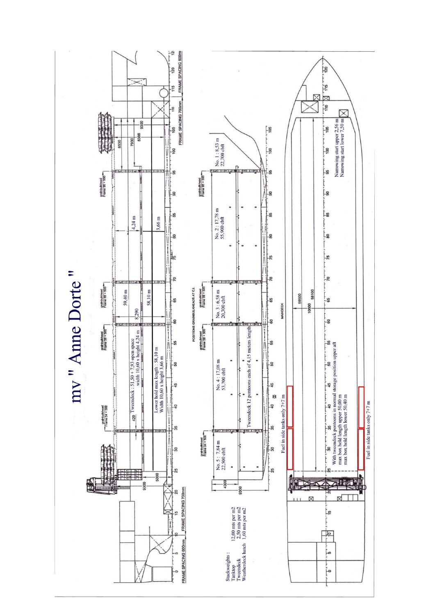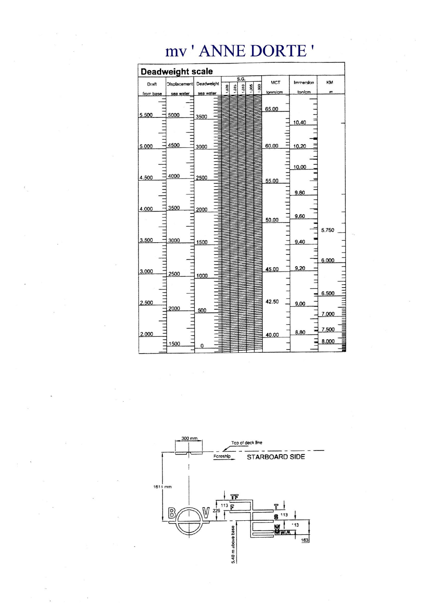## Deadweight scale  $\begin{array}{r} \n 1.015 \\
\hline\n 1.010 \\
\hline\n 1.005 \\
\hline\n 1.000 \\
\end{array}$ .<br>Oisplacer **MCT** Immersion KM Draft Deadweight  $rac{1}{2}$ ton/cm tonm/cm from 65.00  $\frac{1}{1}$ 5.500 5000 3500 10.40  $\equiv$ Ш 4500 60.00 5.000 3000 10,20  $\frac{1}{2}$ 10.00 шышш  $\exists$ ≣ 4000 2500 4.500 55.00 9.80 3500 4.000 2000  $\overline{111}$ 9.60 50.00 Щ 5.750 3.500 3000 1500  $9.40$  $\frac{1}{2}$ 6.000  $9,20$ 45.00 3.000 2500 1000  $\frac{1}{2}$ Ξ 6.500 2.500 42.50  $9.00$ Ξ 2000  $\equiv$ 500 7.000 7.500 8.80  $2.000$ 40.00  $\equiv$ 8.000 1500

mv'ANNE DORTE'

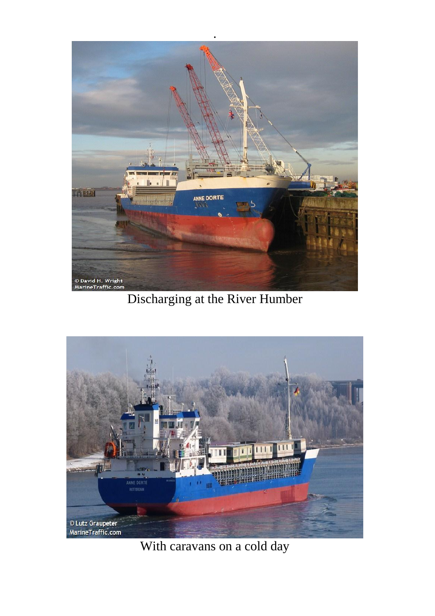

Discharging at the River Humber



With caravans on a cold day